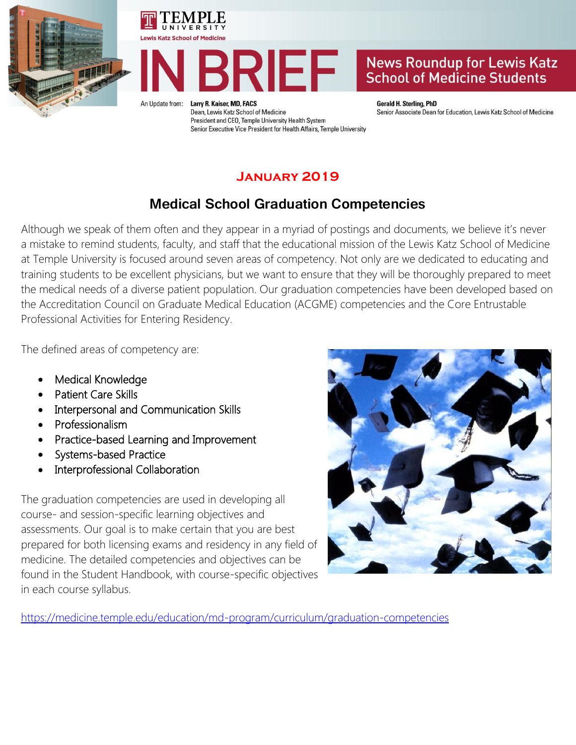





An Update from:

Larry R. Kaiser, MD, FACS Dean, Lewis Katz School of Medicine President and CEO, Temple University Health System Senior Executive Vice President for Health Affairs, Temple University

#### **Gerald H. Sterling, PhD** Senior Associate Dean for Education, Lewis Katz School of Medicine

## **January 2019**

## **Medical School Graduation Competencies**

Although we speak of them often and they appear in a myriad of postings and documents, we believe it's never a mistake to remind students, faculty, and staff that the educational mission of the Lewis Katz School of Medicine at Temple University is focused around seven areas of competency. Not only are we dedicated to educating and training students to be excellent physicians, but we want to ensure that they will be thoroughly prepared to meet the medical needs of a diverse patient population. Our graduation competencies have been developed based on the Accreditation Council on Graduate Medical Education (ACGME) competencies and the Core Entrustable Professional Activities for Entering Residency.

The defined areas of competency are:

- Medical Knowledge
- Patient Care Skills
- Interpersonal and Communication Skills
- Professionalism
- Practice-based Learning and Improvement
- Systems-based Practice
- Interprofessional Collaboration

The graduation competencies are used in developing all course- and session-specific learning objectives and assessments. Our goal is to make certain that you are best prepared for both licensing exams and residency in any field of medicine. The detailed competencies and objectives can be found in the Student Handbook, with course-specific objectives in each course syllabus.



<https://medicine.temple.edu/education/md-program/curriculum/graduation-competencies>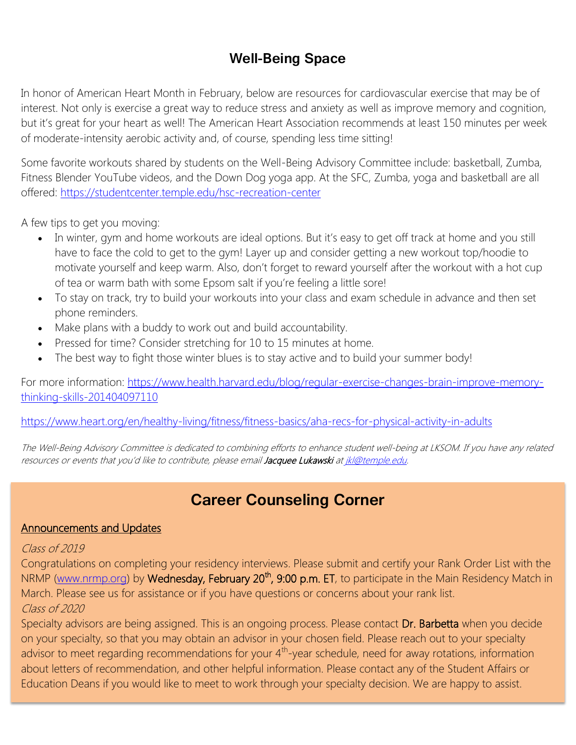## **Well-Being Space**

In honor of American Heart Month in February, below are resources for cardiovascular exercise that may be of interest. Not only is exercise a great way to reduce stress and anxiety as well as improve memory and cognition, but it's great for your heart as well! The American Heart Association recommends at least 150 minutes per week of moderate-intensity aerobic activity and, of course, spending less time sitting!

Some favorite workouts shared by students on the Well-Being Advisory Committee include: basketball, Zumba, Fitness Blender YouTube videos, and the Down Dog yoga app. At the SFC, Zumba, yoga and basketball are all offered:<https://studentcenter.temple.edu/hsc-recreation-center>

A few tips to get you moving:

- In winter, gym and home workouts are ideal options. But it's easy to get off track at home and you still have to face the cold to get to the gym! Layer up and consider getting a new workout top/hoodie to motivate yourself and keep warm. Also, don't forget to reward yourself after the workout with a hot cup of tea or warm bath with some Epsom salt if you're feeling a little sore!
- To stay on track, try to build your workouts into your class and exam schedule in advance and then set phone reminders.
- Make plans with a buddy to work out and build accountability.
- Pressed for time? Consider stretching for 10 to 15 minutes at home.
- The best way to fight those winter blues is to stay active and to build your summer body!

For more information: [https://www.health.harvard.edu/blog/regular-exercise-changes-brain-improve-memory](https://www.health.harvard.edu/blog/regular-exercise-changes-brain-improve-memory-thinking-skills-201404097110)[thinking-skills-201404097110](https://www.health.harvard.edu/blog/regular-exercise-changes-brain-improve-memory-thinking-skills-201404097110)

<https://www.heart.org/en/healthy-living/fitness/fitness-basics/aha-recs-for-physical-activity-in-adults>

The Well-Being Advisory Committee is dedicated to combining efforts to enhance student well-being at LKSOM. If you have any related resources or events that you'd like to contribute, please email Jacquee Lukawski a[t jkl@temple.edu.](mailto:jkl@temple.edu)

# **Career Counseling Corner**

### Announcements and Updates

### Class of 2019

Congratulations on completing your residency interviews. Please submit and certify your Rank Order List with the NRMP [\(www.nrmp.org\)](http://www.nrmp.org/) by Wednesday, February 20<sup>th</sup>, 9:00 p.m. ET, to participate in the Main Residency Match in March. Please see us for assistance or if you have questions or concerns about your rank list. Class of 2020

Specialty advisors are being assigned. This is an ongoing process. Please contact Dr. Barbetta when you decide on your specialty, so that you may obtain an advisor in your chosen field. Please reach out to your specialty advisor to meet regarding recommendations for your  $4<sup>th</sup>$ -year schedule, need for away rotations, information about letters of recommendation, and other helpful information. Please contact any of the Student Affairs or Education Deans if you would like to meet to work through your specialty decision. We are happy to assist.